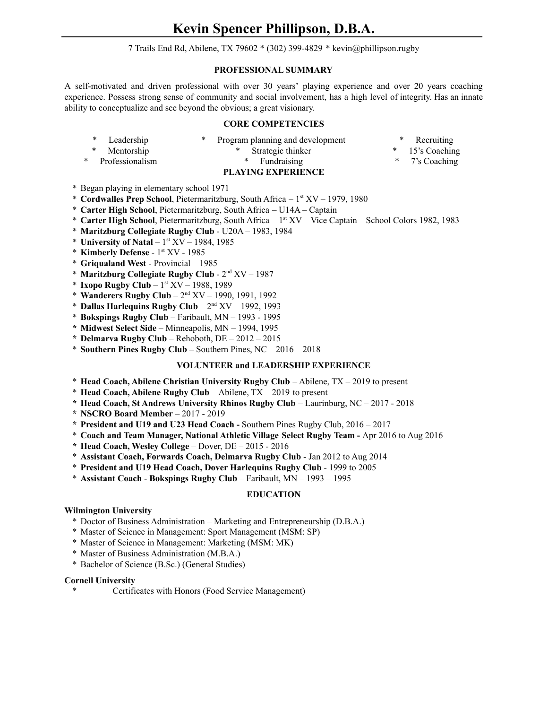7 Trails End Rd, Abilene, TX 79602 \* (302) 399-4829 \* kevin@phillipson.rugby

## **PROFESSIONAL SUMMARY**

A self-motivated and driven professional with over 30 years' playing experience and over 20 years coaching experience. Possess strong sense of community and social involvement, has a high level of integrity. Has an innate ability to conceptualize and see beyond the obvious; a great visionary.

## **CORE COMPETENCIES**

|                           | Leadership      |  | * Program planning and development |  | * Recruiting    |
|---------------------------|-----------------|--|------------------------------------|--|-----------------|
| $\ast$                    | Mentorship      |  | Strategic thinker                  |  | * 15's Coaching |
| *                         | Professionalism |  | * Fundraising                      |  | * 7's Coaching  |
| <b>PLAYING EXPERIENCE</b> |                 |  |                                    |  |                 |

\* Began playing in elementary school 1971

- \* **Cordwalles Prep School**, Pietermaritzburg, South Africa 1 st XV 1979, 1980
- \* **Carter High School**, Pietermaritzburg, South Africa U14A Captain
- \* **Carter High School**, Pietermaritzburg, South Africa 1 st XV Vice Captain School Colors 1982, 1983
- \* **Maritzburg Collegiate Rugby Club** U20A 1983, 1984
- \* **University of Natal** 1 st XV 1984, 1985
- \* **Kimberly Defense** 1 st XV 1985
- \* **Griqualand West** Provincial 1985
- \* **Maritzburg Collegiate Rugby Club** 2 nd XV 1987
- \* **Ixopo Rugby Club** 1 st XV 1988, 1989
- \* **Wanderers Rugby Club** 2 nd XV 1990, 1991, 1992
- \* **Dallas Harlequins Rugby Club** 2 nd XV 1992, 1993
- \* **Bokspings Rugby Club** Faribault, MN 1993 1995
- **\* Midwest Select Side** Minneapolis, MN 1994, 1995
- **\* Delmarva Rugby Club** Rehoboth, DE 2012 2015
- \* **Southern Pines Rugby Club –** Southern Pines, NC 2016 2018

### **VOLUNTEER and LEADERSHIP EXPERIENCE**

- \* **Head Coach, Abilene Christian University Rugby Club** Abilene, TX 2019 to present
- \* **Head Coach, Abilene Rugby Club** Abilene, TX 2019 to present
- **\* Head Coach, St Andrews University Rhinos Rugby Club** Laurinburg, NC 2017 2018
- **\* NSCRO Board Member** 2017 2019
- **\* President and U19 and U23 Head Coach -** Southern Pines Rugby Club, 2016 2017
- \* **Coach and Team Manager, National Athletic Village Select Rugby Team -** Apr 2016 to Aug 2016
- **\* Head Coach, Wesley College** Dover, DE 2015 2016
- \* **Assistant Coach, Forwards Coach, Delmarva Rugby Club** Jan 2012 to Aug 2014
- \* **President and U19 Head Coach, Dover Harlequins Rugby Club** 1999 to 2005
- \* **Assistant Coach Bokspings Rugby Club** Faribault, MN 1993 1995

# **EDUCATION**

# **Wilmington University**

- \* Doctor of Business Administration Marketing and Entrepreneurship (D.B.A.)
- \* Master of Science in Management: Sport Management (MSM: SP)
- \* Master of Science in Management: Marketing (MSM: MK)
- \* Master of Business Administration (M.B.A.)
- \* Bachelor of Science (B.Sc.) (General Studies)

## **Cornell University**

Certificates with Honors (Food Service Management)